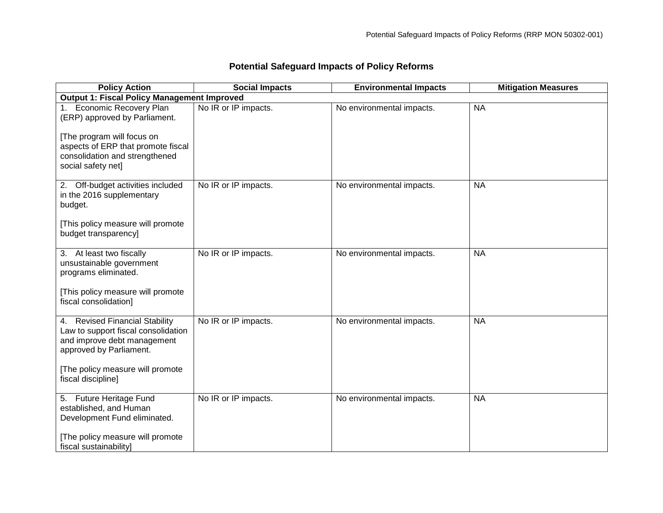| <b>Policy Action</b>                                                                                                            | <b>Social Impacts</b> | <b>Environmental Impacts</b> | <b>Mitigation Measures</b> |  |  |  |
|---------------------------------------------------------------------------------------------------------------------------------|-----------------------|------------------------------|----------------------------|--|--|--|
| <b>Output 1: Fiscal Policy Management Improved</b>                                                                              |                       |                              |                            |  |  |  |
| 1. Economic Recovery Plan<br>(ERP) approved by Parliament.<br>[The program will focus on                                        | No IR or IP impacts.  | No environmental impacts.    | <b>NA</b>                  |  |  |  |
| aspects of ERP that promote fiscal<br>consolidation and strengthened<br>social safety net]                                      |                       |                              |                            |  |  |  |
| 2. Off-budget activities included<br>in the 2016 supplementary<br>budget.                                                       | No IR or IP impacts.  | No environmental impacts.    | <b>NA</b>                  |  |  |  |
| [This policy measure will promote<br>budget transparency]                                                                       |                       |                              |                            |  |  |  |
| 3. At least two fiscally<br>unsustainable government<br>programs eliminated.                                                    | No IR or IP impacts.  | No environmental impacts.    | <b>NA</b>                  |  |  |  |
| [This policy measure will promote<br>fiscal consolidation]                                                                      |                       |                              |                            |  |  |  |
| 4. Revised Financial Stability<br>Law to support fiscal consolidation<br>and improve debt management<br>approved by Parliament. | No IR or IP impacts.  | No environmental impacts.    | <b>NA</b>                  |  |  |  |
| [The policy measure will promote<br>fiscal discipline]                                                                          |                       |                              |                            |  |  |  |
| 5. Future Heritage Fund<br>established, and Human<br>Development Fund eliminated.                                               | No IR or IP impacts.  | No environmental impacts.    | <b>NA</b>                  |  |  |  |
| [The policy measure will promote<br>fiscal sustainability]                                                                      |                       |                              |                            |  |  |  |

## **[Potential Safeguard Impacts of Policy Reforms](http://www.adb.org/Documents/RRPs/?id=XXXXX-XX-X)**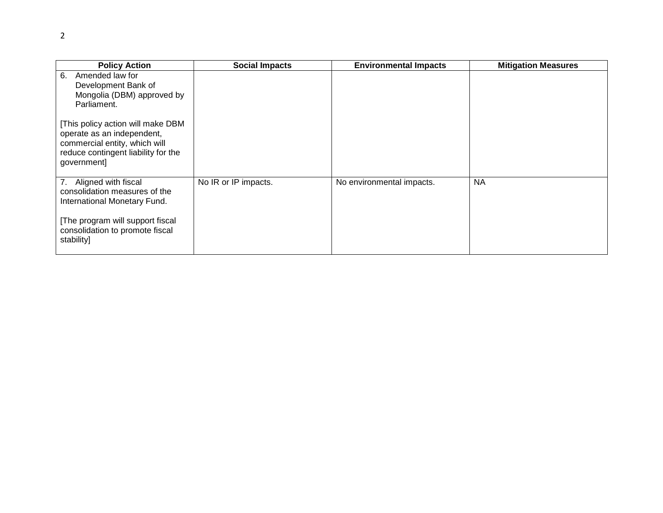| <b>Policy Action</b>                                                                                                                                   | <b>Social Impacts</b> | <b>Environmental Impacts</b> | <b>Mitigation Measures</b> |
|--------------------------------------------------------------------------------------------------------------------------------------------------------|-----------------------|------------------------------|----------------------------|
| 6.<br>Amended law for<br>Development Bank of<br>Mongolia (DBM) approved by<br>Parliament.                                                              |                       |                              |                            |
| [This policy action will make DBM<br>operate as an independent,<br>commercial entity, which will<br>reduce contingent liability for the<br>government] |                       |                              |                            |
| 7.<br>Aligned with fiscal<br>consolidation measures of the<br>International Monetary Fund.                                                             | No IR or IP impacts.  | No environmental impacts.    | <b>NA</b>                  |
| [The program will support fiscal<br>consolidation to promote fiscal<br>stability]                                                                      |                       |                              |                            |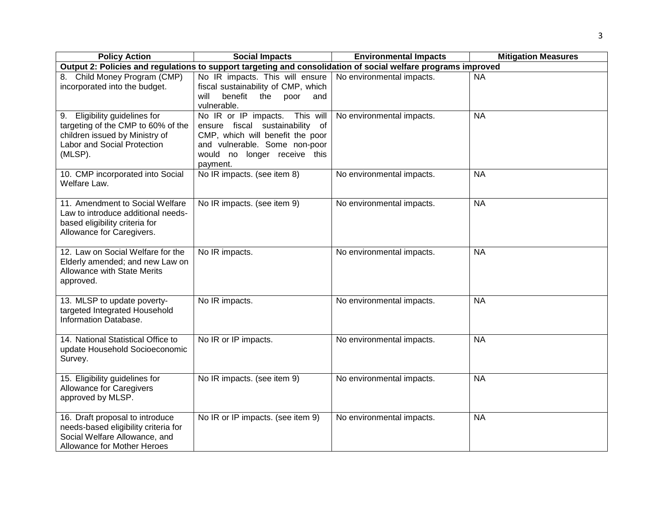| <b>Policy Action</b>                                                                                                                            | <b>Social Impacts</b>                                                                                                                                                                 | <b>Environmental Impacts</b> | <b>Mitigation Measures</b> |  |  |  |
|-------------------------------------------------------------------------------------------------------------------------------------------------|---------------------------------------------------------------------------------------------------------------------------------------------------------------------------------------|------------------------------|----------------------------|--|--|--|
| Output 2: Policies and regulations to support targeting and consolidation of social welfare programs improved                                   |                                                                                                                                                                                       |                              |                            |  |  |  |
| 8. Child Money Program (CMP)<br>incorporated into the budget.                                                                                   | No IR impacts. This will ensure<br>fiscal sustainability of CMP, which<br>benefit<br>will<br>the<br>poor<br>and<br>vulnerable.                                                        | No environmental impacts.    | <b>NA</b>                  |  |  |  |
| 9. Eligibility guidelines for<br>targeting of the CMP to 60% of the<br>children issued by Ministry of<br>Labor and Social Protection<br>(MLSP). | No IR or IP impacts.<br>This will<br>ensure fiscal sustainability of<br>CMP, which will benefit the poor<br>and vulnerable. Some non-poor<br>would no longer receive this<br>payment. | No environmental impacts.    | <b>NA</b>                  |  |  |  |
| 10. CMP incorporated into Social<br>Welfare Law.                                                                                                | No IR impacts. (see item 8)                                                                                                                                                           | No environmental impacts.    | <b>NA</b>                  |  |  |  |
| 11. Amendment to Social Welfare<br>Law to introduce additional needs-<br>based eligibility criteria for<br>Allowance for Caregivers.            | No IR impacts. (see item 9)                                                                                                                                                           | No environmental impacts.    | <b>NA</b>                  |  |  |  |
| 12. Law on Social Welfare for the<br>Elderly amended; and new Law on<br>Allowance with State Merits<br>approved.                                | No IR impacts.                                                                                                                                                                        | No environmental impacts.    | <b>NA</b>                  |  |  |  |
| 13. MLSP to update poverty-<br>targeted Integrated Household<br>Information Database.                                                           | No IR impacts.                                                                                                                                                                        | No environmental impacts.    | <b>NA</b>                  |  |  |  |
| 14. National Statistical Office to<br>update Household Socioeconomic<br>Survey.                                                                 | No IR or IP impacts.                                                                                                                                                                  | No environmental impacts.    | <b>NA</b>                  |  |  |  |
| 15. Eligibility guidelines for<br><b>Allowance for Caregivers</b><br>approved by MLSP.                                                          | No IR impacts. (see item 9)                                                                                                                                                           | No environmental impacts.    | <b>NA</b>                  |  |  |  |
| 16. Draft proposal to introduce<br>needs-based eligibility criteria for<br>Social Welfare Allowance, and<br>Allowance for Mother Heroes         | No IR or IP impacts. (see item 9)                                                                                                                                                     | No environmental impacts.    | <b>NA</b>                  |  |  |  |